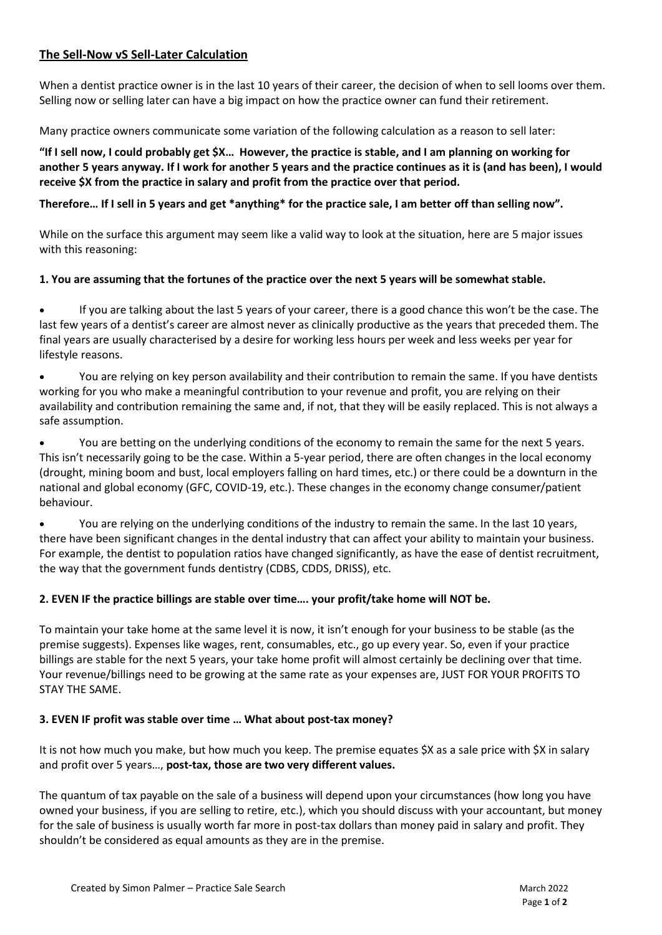# **The Sell-Now vS Sell-Later Calculation**

When a dentist practice owner is in the last 10 years of their career, the decision of when to sell looms over them. Selling now or selling later can have a big impact on how the practice owner can fund their retirement.

Many practice owners communicate some variation of the following calculation as a reason to sell later:

**"If I sell now, I could probably get \$X… However, the practice is stable, and I am planning on working for another 5 years anyway. If I work for another 5 years and the practice continues as it is (and has been), I would receive \$X from the practice in salary and profit from the practice over that period.**

**Therefore… If I sell in 5 years and get \*anything\* for the practice sale, I am better off than selling now".**

While on the surface this argument may seem like a valid way to look at the situation, here are 5 major issues with this reasoning:

#### **1. You are assuming that the fortunes of the practice over the next 5 years will be somewhat stable.**

• If you are talking about the last 5 years of your career, there is a good chance this won't be the case. The last few years of a dentist's career are almost never as clinically productive as the years that preceded them. The final years are usually characterised by a desire for working less hours per week and less weeks per year for lifestyle reasons.

• You are relying on key person availability and their contribution to remain the same. If you have dentists working for you who make a meaningful contribution to your revenue and profit, you are relying on their availability and contribution remaining the same and, if not, that they will be easily replaced. This is not always a safe assumption.

• You are betting on the underlying conditions of the economy to remain the same for the next 5 years. This isn't necessarily going to be the case. Within a 5-year period, there are often changes in the local economy (drought, mining boom and bust, local employers falling on hard times, etc.) or there could be a downturn in the national and global economy (GFC, COVID-19, etc.). These changes in the economy change consumer/patient behaviour.

• You are relying on the underlying conditions of the industry to remain the same. In the last 10 years, there have been significant changes in the dental industry that can affect your ability to maintain your business. For example, the dentist to population ratios have changed significantly, as have the ease of dentist recruitment, the way that the government funds dentistry (CDBS, CDDS, DRISS), etc.

## **2. EVEN IF the practice billings are stable over time…. your profit/take home will NOT be.**

To maintain your take home at the same level it is now, it isn't enough for your business to be stable (as the premise suggests). Expenses like wages, rent, consumables, etc., go up every year. So, even if your practice billings are stable for the next 5 years, your take home profit will almost certainly be declining over that time. Your revenue/billings need to be growing at the same rate as your expenses are, JUST FOR YOUR PROFITS TO STAY THE SAME.

## **3. EVEN IF profit was stable over time … What about post-tax money?**

It is not how much you make, but how much you keep. The premise equates \$X as a sale price with \$X in salary and profit over 5 years…, **post-tax, those are two very different values.**

The quantum of tax payable on the sale of a business will depend upon your circumstances (how long you have owned your business, if you are selling to retire, etc.), which you should discuss with your accountant, but money for the sale of business is usually worth far more in post-tax dollars than money paid in salary and profit. They shouldn't be considered as equal amounts as they are in the premise.